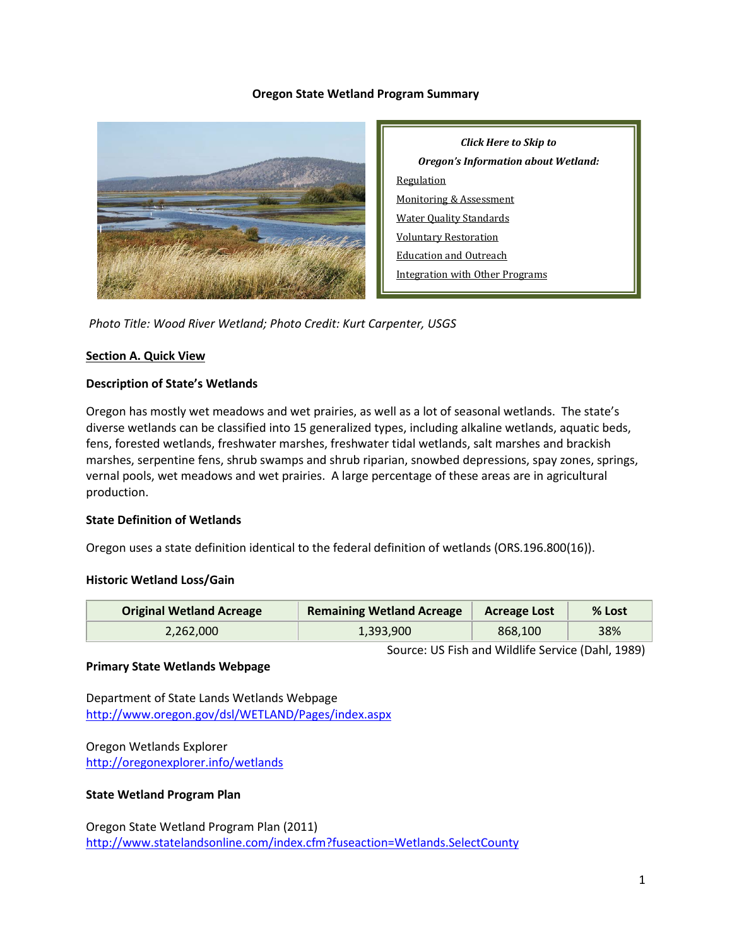#### **Oregon State Wetland Program Summary**



*Click Here to Skip to Oregon's Information about Wetland:* Regulation Monitoring & Assessment Water Quality Standards Voluntary Restoration Education and Outreach Integration with Other Programs

*Photo Title: Wood River Wetland; Photo Credit: Kurt Carpenter, USGS*

#### **Section A. Quick View**

#### **Description of State's Wetlands**

Oregon has mostly wet meadows and wet prairies, as well as a lot of seasonal wetlands. The state's diverse wetlands can be classified into 15 generalized types, including alkaline wetlands, aquatic beds, fens, forested wetlands, freshwater marshes, freshwater tidal wetlands, salt marshes and brackish marshes, serpentine fens, shrub swamps and shrub riparian, snowbed depressions, spay zones, springs, vernal pools, wet meadows and wet prairies. A large percentage of these areas are in agricultural production.

## **State Definition of Wetlands**

Oregon uses a state definition identical to the federal definition of wetlands (ORS.196.800(16)).

## **Historic Wetland Loss/Gain**

| <b>Original Wetland Acreage</b> | <b>Remaining Wetland Acreage</b> | <b>Acreage Lost</b> | % Lost |
|---------------------------------|----------------------------------|---------------------|--------|
| 2.262.000                       | 1,393,900                        | 868,100             | 38%    |

Source: US Fish and Wildlife Service (Dahl, 1989)

#### **Primary State Wetlands Webpage**

Department of State Lands Wetlands Webpage <http://www.oregon.gov/dsl/WETLAND/Pages/index.aspx>

Oregon Wetlands Explorer <http://oregonexplorer.info/wetlands>

## **State Wetland Program Plan**

Oregon State Wetland Program Plan (2011) <http://www.statelandsonline.com/index.cfm?fuseaction=Wetlands.SelectCounty>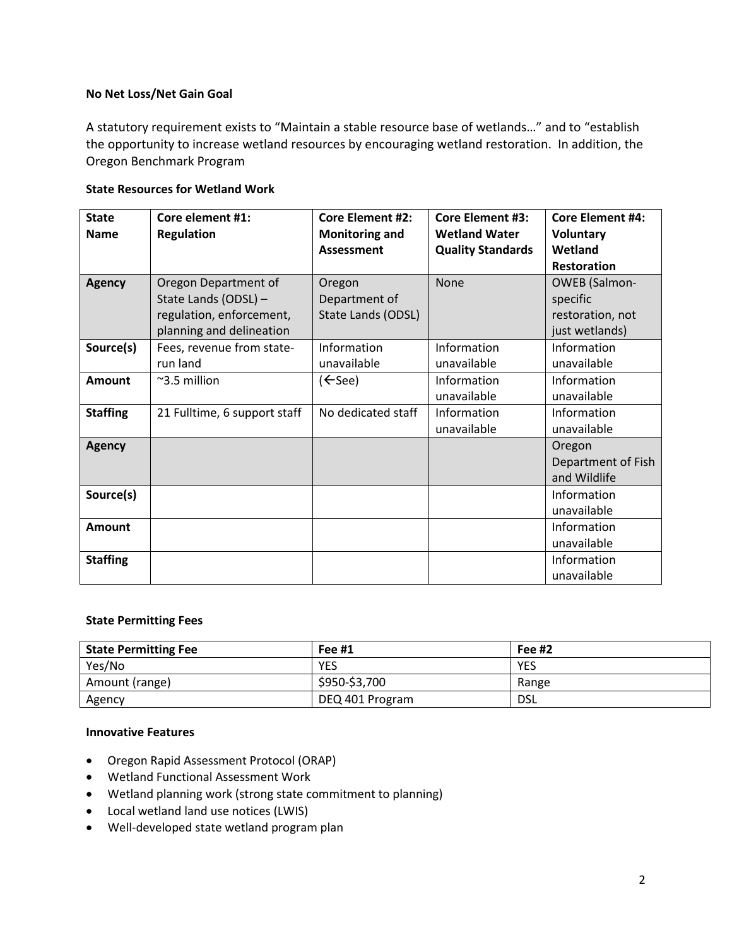#### **No Net Loss/Net Gain Goal**

A statutory requirement exists to "Maintain a stable resource base of wetlands…" and to "establish the opportunity to increase wetland resources by encouraging wetland restoration. In addition, the Oregon Benchmark Program

#### **State Resources for Wetland Work**

| <b>State</b><br><b>Name</b> | Core element #1:<br><b>Regulation</b>                                                                | <b>Core Element #2:</b><br><b>Monitoring and</b> | <b>Core Element #3:</b><br><b>Wetland Water</b> | <b>Core Element #4:</b><br><b>Voluntary</b>                            |
|-----------------------------|------------------------------------------------------------------------------------------------------|--------------------------------------------------|-------------------------------------------------|------------------------------------------------------------------------|
|                             |                                                                                                      | <b>Assessment</b>                                | <b>Quality Standards</b>                        | Wetland                                                                |
|                             |                                                                                                      |                                                  |                                                 | <b>Restoration</b>                                                     |
| <b>Agency</b>               | Oregon Department of<br>State Lands (ODSL) -<br>regulation, enforcement,<br>planning and delineation | Oregon<br>Department of<br>State Lands (ODSL)    | None                                            | <b>OWEB</b> (Salmon-<br>specific<br>restoration, not<br>just wetlands) |
| Source(s)                   | Fees, revenue from state-<br>run land                                                                | Information<br>unavailable                       | Information<br>unavailable                      | Information<br>unavailable                                             |
| Amount                      | $~\sim$ 3.5 million                                                                                  | $(\Leftarrow)$                                   | Information<br>unavailable                      | Information<br>unavailable                                             |
| <b>Staffing</b>             | 21 Fulltime, 6 support staff                                                                         | No dedicated staff                               | Information<br>unavailable                      | Information<br>unavailable                                             |
| <b>Agency</b>               |                                                                                                      |                                                  |                                                 | Oregon<br>Department of Fish<br>and Wildlife                           |
| Source(s)                   |                                                                                                      |                                                  |                                                 | Information<br>unavailable                                             |
| <b>Amount</b>               |                                                                                                      |                                                  |                                                 | Information<br>unavailable                                             |
| <b>Staffing</b>             |                                                                                                      |                                                  |                                                 | Information<br>unavailable                                             |

#### **State Permitting Fees**

| <b>State Permitting Fee</b> | Fee $#1$        | Fee $#2$ |
|-----------------------------|-----------------|----------|
| Yes/No                      | <b>YES</b>      | YES      |
| Amount (range)              | \$950-\$3,700   | Range    |
| Agency                      | DEQ 401 Program | DSL      |

# **Innovative Features**

- Oregon Rapid Assessment Protocol (ORAP)
- Wetland Functional Assessment Work
- Wetland planning work (strong state commitment to planning)
- Local wetland land use notices (LWIS)
- Well-developed state wetland program plan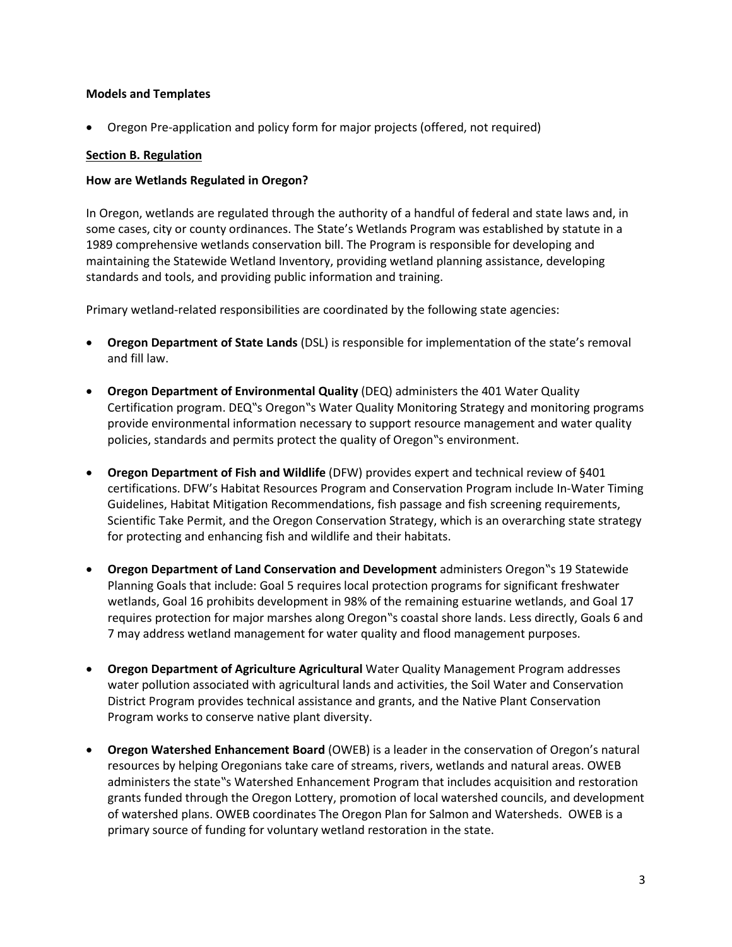## **Models and Templates**

• Oregon Pre-application and policy form for major projects (offered, not required)

## **Section B. Regulation**

## **How are Wetlands Regulated in Oregon?**

In Oregon, wetlands are regulated through the authority of a handful of federal and state laws and, in some cases, city or county ordinances. The State's Wetlands Program was established by statute in a 1989 comprehensive wetlands conservation bill. The Program is responsible for developing and maintaining the Statewide Wetland Inventory, providing wetland planning assistance, developing standards and tools, and providing public information and training.

Primary wetland-related responsibilities are coordinated by the following state agencies:

- **Oregon Department of State Lands** (DSL) is responsible for implementation of the state's removal and fill law.
- **Oregon Department of Environmental Quality** (DEQ) administers the 401 Water Quality Certification program. DEQ"s Oregon"s Water Quality Monitoring Strategy and monitoring programs provide environmental information necessary to support resource management and water quality policies, standards and permits protect the quality of Oregon"s environment.
- **Oregon Department of Fish and Wildlife** (DFW) provides expert and technical review of §401 certifications. DFW's Habitat Resources Program and Conservation Program include In-Water Timing Guidelines, Habitat Mitigation Recommendations, fish passage and fish screening requirements, Scientific Take Permit, and the Oregon Conservation Strategy, which is an overarching state strategy for protecting and enhancing fish and wildlife and their habitats.
- **Oregon Department of Land Conservation and Development** administers Oregon"s 19 Statewide Planning Goals that include: Goal 5 requires local protection programs for significant freshwater wetlands, Goal 16 prohibits development in 98% of the remaining estuarine wetlands, and Goal 17 requires protection for major marshes along Oregon"s coastal shore lands. Less directly, Goals 6 and 7 may address wetland management for water quality and flood management purposes.
- **Oregon Department of Agriculture Agricultural** Water Quality Management Program addresses water pollution associated with agricultural lands and activities, the Soil Water and Conservation District Program provides technical assistance and grants, and the Native Plant Conservation Program works to conserve native plant diversity.
- **Oregon Watershed Enhancement Board** (OWEB) is a leader in the conservation of Oregon's natural resources by helping Oregonians take care of streams, rivers, wetlands and natural areas. OWEB administers the state"s Watershed Enhancement Program that includes acquisition and restoration grants funded through the Oregon Lottery, promotion of local watershed councils, and development of watershed plans. OWEB coordinates The Oregon Plan for Salmon and Watersheds. OWEB is a primary source of funding for voluntary wetland restoration in the state.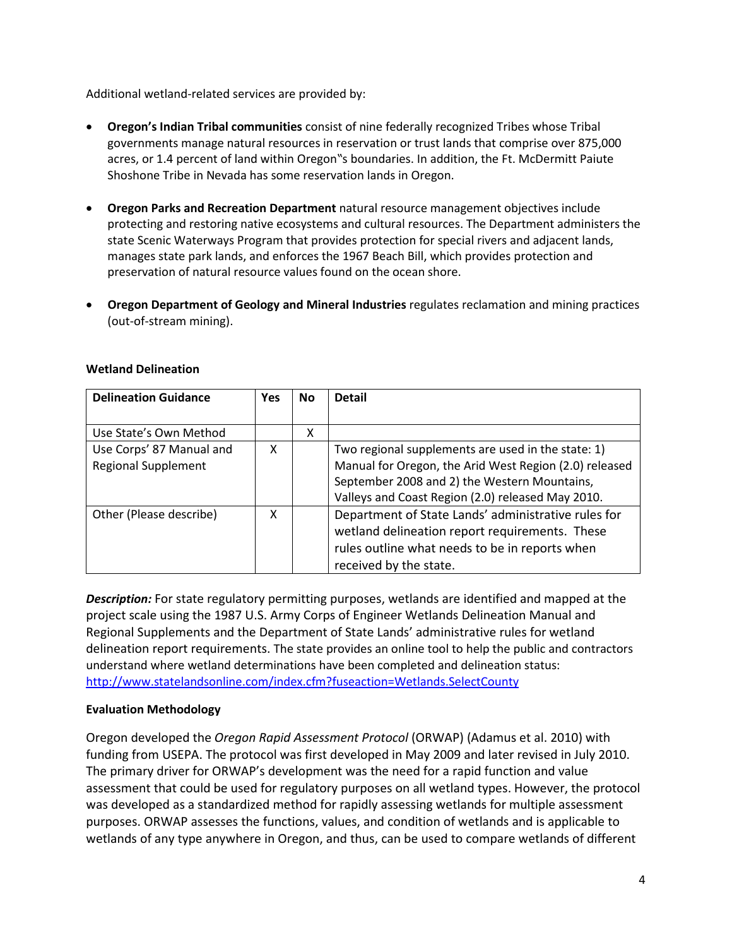Additional wetland-related services are provided by:

- **Oregon's Indian Tribal communities** consist of nine federally recognized Tribes whose Tribal governments manage natural resources in reservation or trust lands that comprise over 875,000 acres, or 1.4 percent of land within Oregon"s boundaries. In addition, the Ft. McDermitt Paiute Shoshone Tribe in Nevada has some reservation lands in Oregon.
- **Oregon Parks and Recreation Department** natural resource management objectives include protecting and restoring native ecosystems and cultural resources. The Department administers the state Scenic Waterways Program that provides protection for special rivers and adjacent lands, manages state park lands, and enforces the 1967 Beach Bill, which provides protection and preservation of natural resource values found on the ocean shore.
- **Oregon Department of Geology and Mineral Industries** regulates reclamation and mining practices (out-of-stream mining).

| <b>Delineation Guidance</b> | <b>Yes</b> | <b>No</b> | <b>Detail</b>                                          |
|-----------------------------|------------|-----------|--------------------------------------------------------|
|                             |            |           |                                                        |
| Use State's Own Method      |            | x         |                                                        |
| Use Corps' 87 Manual and    | x          |           | Two regional supplements are used in the state: 1)     |
| <b>Regional Supplement</b>  |            |           | Manual for Oregon, the Arid West Region (2.0) released |
|                             |            |           | September 2008 and 2) the Western Mountains,           |
|                             |            |           | Valleys and Coast Region (2.0) released May 2010.      |
| Other (Please describe)     | x          |           | Department of State Lands' administrative rules for    |
|                             |            |           | wetland delineation report requirements. These         |
|                             |            |           | rules outline what needs to be in reports when         |
|                             |            |           | received by the state.                                 |

# **Wetland Delineation**

*Description:* For state regulatory permitting purposes, wetlands are identified and mapped at the project scale using the 1987 U.S. Army Corps of Engineer Wetlands Delineation Manual and Regional Supplements and the Department of State Lands' administrative rules for wetland delineation report requirements. The state provides an online tool to help the public and contractors understand where wetland determinations have been completed and delineation status: <http://www.statelandsonline.com/index.cfm?fuseaction=Wetlands.SelectCounty>

# **Evaluation Methodology**

Oregon developed the *Oregon Rapid Assessment Protocol* (ORWAP) (Adamus et al. 2010) with funding from USEPA. The protocol was first developed in May 2009 and later revised in July 2010. The primary driver for ORWAP's development was the need for a rapid function and value assessment that could be used for regulatory purposes on all wetland types. However, the protocol was developed as a standardized method for rapidly assessing wetlands for multiple assessment purposes. ORWAP assesses the functions, values, and condition of wetlands and is applicable to wetlands of any type anywhere in Oregon, and thus, can be used to compare wetlands of different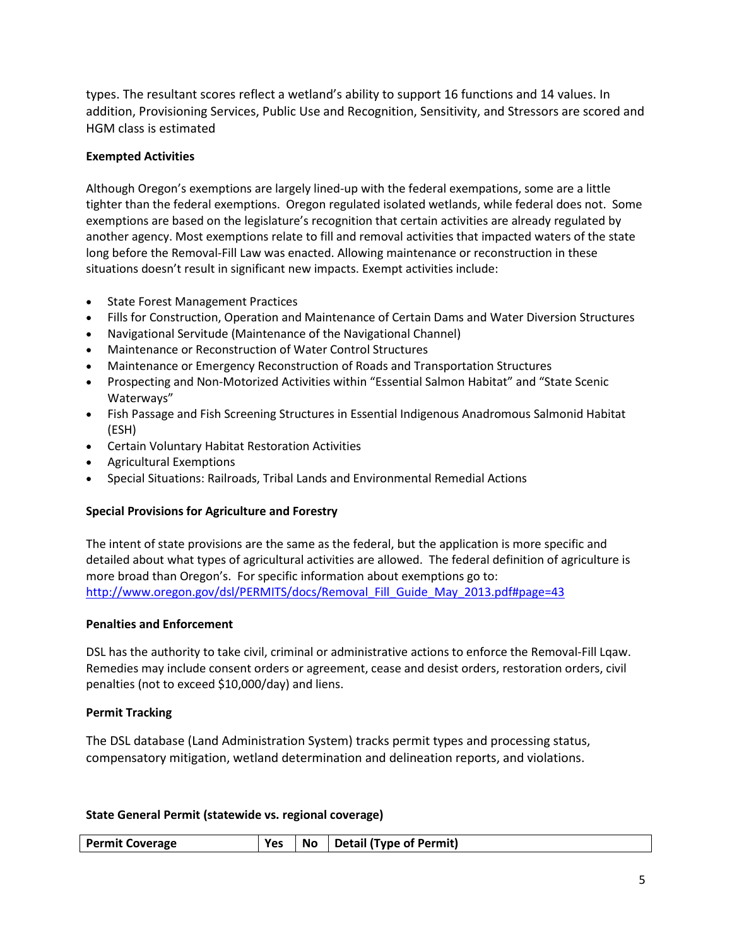types. The resultant scores reflect a wetland's ability to support 16 functions and 14 values. In addition, Provisioning Services, Public Use and Recognition, Sensitivity, and Stressors are scored and HGM class is estimated

# **Exempted Activities**

Although Oregon's exemptions are largely lined-up with the federal exempations, some are a little tighter than the federal exemptions. Oregon regulated isolated wetlands, while federal does not. Some exemptions are based on the legislature's recognition that certain activities are already regulated by another agency. Most exemptions relate to fill and removal activities that impacted waters of the state long before the Removal-Fill Law was enacted. Allowing maintenance or reconstruction in these situations doesn't result in significant new impacts. Exempt activities include:

- State Forest Management Practices
- Fills for Construction, Operation and Maintenance of Certain Dams and Water Diversion Structures
- Navigational Servitude (Maintenance of the Navigational Channel)
- Maintenance or Reconstruction of Water Control Structures
- Maintenance or Emergency Reconstruction of Roads and Transportation Structures
- Prospecting and Non-Motorized Activities within "Essential Salmon Habitat" and "State Scenic Waterways"
- Fish Passage and Fish Screening Structures in Essential Indigenous Anadromous Salmonid Habitat (ESH)
- Certain Voluntary Habitat Restoration Activities
- Agricultural Exemptions
- Special Situations: Railroads, Tribal Lands and Environmental Remedial Actions

# **Special Provisions for Agriculture and Forestry**

The intent of state provisions are the same as the federal, but the application is more specific and detailed about what types of agricultural activities are allowed. The federal definition of agriculture is more broad than Oregon's. For specific information about exemptions go to: [http://www.oregon.gov/dsl/PERMITS/docs/Removal\\_Fill\\_Guide\\_May\\_2013.pdf#page=43](http://www.oregon.gov/dsl/PERMITS/docs/Removal_Fill_Guide_May_2013.pdf#page=43)

# **Penalties and Enforcement**

DSL has the authority to take civil, criminal or administrative actions to enforce the Removal-Fill Lqaw. Remedies may include consent orders or agreement, cease and desist orders, restoration orders, civil penalties (not to exceed \$10,000/day) and liens.

# **Permit Tracking**

The DSL database (Land Administration System) tracks permit types and processing status, compensatory mitigation, wetland determination and delineation reports, and violations.

# **State General Permit (statewide vs. regional coverage)**

| <b>Permit Coverage</b> |  | $\forall$ Pes $\mid$ No $\mid$ Detail (Type of Permit) |
|------------------------|--|--------------------------------------------------------|
|                        |  |                                                        |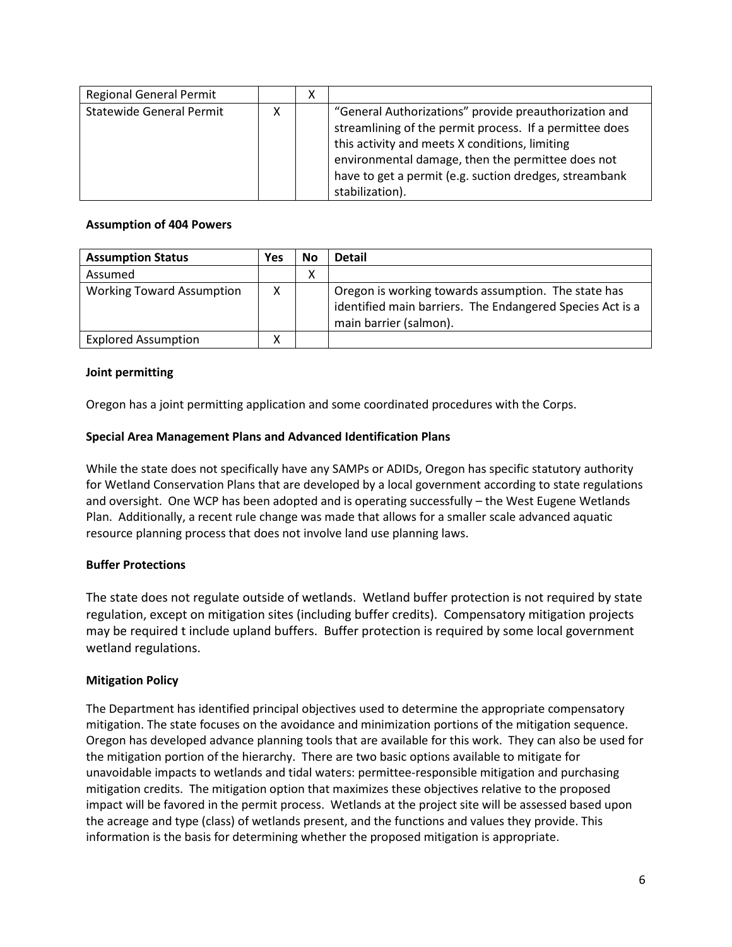| <b>Regional General Permit</b> | х |                                                                                                                                                                                                                                                                                                      |
|--------------------------------|---|------------------------------------------------------------------------------------------------------------------------------------------------------------------------------------------------------------------------------------------------------------------------------------------------------|
| Statewide General Permit       |   | "General Authorizations" provide preauthorization and<br>streamlining of the permit process. If a permittee does<br>this activity and meets X conditions, limiting<br>environmental damage, then the permittee does not<br>have to get a permit (e.g. suction dredges, streambank<br>stabilization). |

#### **Assumption of 404 Powers**

| <b>Assumption Status</b>         | Yes | No. | <b>Detail</b>                                                                                                                              |
|----------------------------------|-----|-----|--------------------------------------------------------------------------------------------------------------------------------------------|
| Assumed                          |     | ∧   |                                                                                                                                            |
| <b>Working Toward Assumption</b> | x   |     | Oregon is working towards assumption. The state has<br>identified main barriers. The Endangered Species Act is a<br>main barrier (salmon). |
| <b>Explored Assumption</b>       |     |     |                                                                                                                                            |

## **Joint permitting**

Oregon has a joint permitting application and some coordinated procedures with the Corps.

#### **Special Area Management Plans and Advanced Identification Plans**

While the state does not specifically have any SAMPs or ADIDs, Oregon has specific statutory authority for Wetland Conservation Plans that are developed by a local government according to state regulations and oversight. One WCP has been adopted and is operating successfully – the West Eugene Wetlands Plan. Additionally, a recent rule change was made that allows for a smaller scale advanced aquatic resource planning process that does not involve land use planning laws.

## **Buffer Protections**

The state does not regulate outside of wetlands. Wetland buffer protection is not required by state regulation, except on mitigation sites (including buffer credits). Compensatory mitigation projects may be required t include upland buffers. Buffer protection is required by some local government wetland regulations.

## **Mitigation Policy**

The Department has identified principal objectives used to determine the appropriate compensatory mitigation. The state focuses on the avoidance and minimization portions of the mitigation sequence. Oregon has developed advance planning tools that are available for this work. They can also be used for the mitigation portion of the hierarchy. There are two basic options available to mitigate for unavoidable impacts to wetlands and tidal waters: permittee-responsible mitigation and purchasing mitigation credits. The mitigation option that maximizes these objectives relative to the proposed impact will be favored in the permit process. Wetlands at the project site will be assessed based upon the acreage and type (class) of wetlands present, and the functions and values they provide. This information is the basis for determining whether the proposed mitigation is appropriate.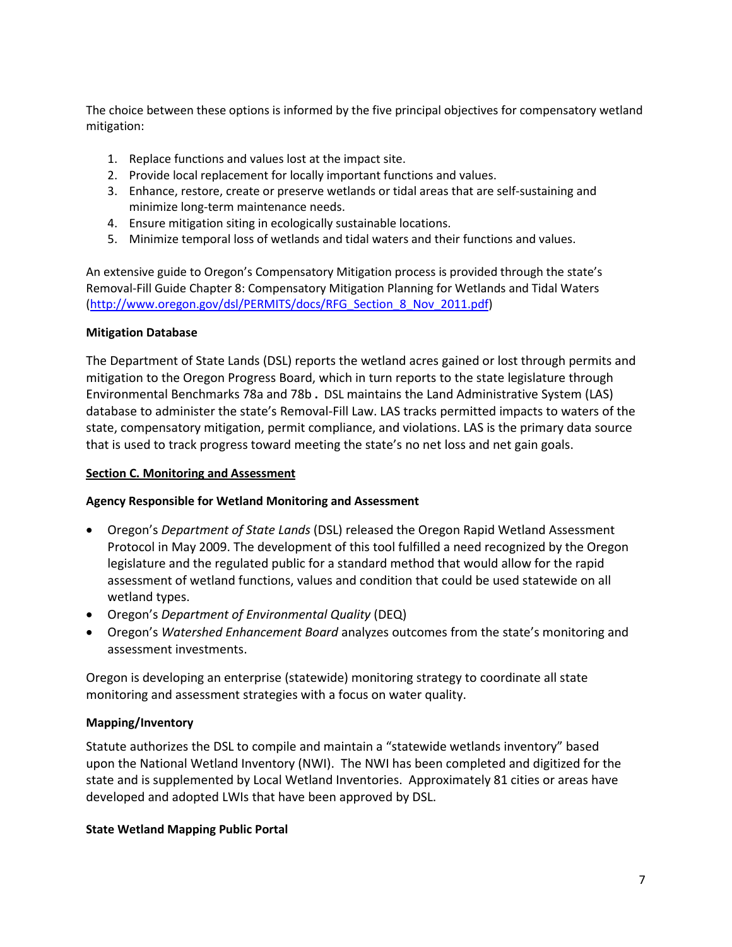The choice between these options is informed by the five principal objectives for compensatory wetland mitigation:

- 1. Replace functions and values lost at the impact site.
- 2. Provide local replacement for locally important functions and values.
- 3. Enhance, restore, create or preserve wetlands or tidal areas that are self-sustaining and minimize long-term maintenance needs.
- 4. Ensure mitigation siting in ecologically sustainable locations.
- 5. Minimize temporal loss of wetlands and tidal waters and their functions and values.

An extensive guide to Oregon's Compensatory Mitigation process is provided through the state's Removal-Fill Guide Chapter 8: Compensatory Mitigation Planning for Wetlands and Tidal Waters [\(http://www.oregon.gov/dsl/PERMITS/docs/RFG\\_Section\\_8\\_Nov\\_2011.pdf\)](http://www.oregon.gov/dsl/PERMITS/docs/RFG_Section_8_Nov_2011.pdf)

## **Mitigation Database**

The Department of State Lands (DSL) reports the wetland acres gained or lost through permits and mitigation to the Oregon Progress Board, which in turn reports to the state legislature through Environmental Benchmarks 78a and 78b **.** DSL maintains the Land Administrative System (LAS) database to administer the state's Removal-Fill Law. LAS tracks permitted impacts to waters of the state, compensatory mitigation, permit compliance, and violations. LAS is the primary data source that is used to track progress toward meeting the state's no net loss and net gain goals.

## **Section C. Monitoring and Assessment**

## **Agency Responsible for Wetland Monitoring and Assessment**

- Oregon's *Department of State Lands* (DSL) released the Oregon Rapid Wetland Assessment Protocol in May 2009. The development of this tool fulfilled a need recognized by the Oregon legislature and the regulated public for a standard method that would allow for the rapid assessment of wetland functions, values and condition that could be used statewide on all wetland types.
- Oregon's *Department of Environmental Quality* (DEQ)
- Oregon's *Watershed Enhancement Board* analyzes outcomes from the state's monitoring and assessment investments.

Oregon is developing an enterprise (statewide) monitoring strategy to coordinate all state monitoring and assessment strategies with a focus on water quality.

## **Mapping/Inventory**

Statute authorizes the DSL to compile and maintain a "statewide wetlands inventory" based upon the National Wetland Inventory (NWI). The NWI has been completed and digitized for the state and is supplemented by Local Wetland Inventories. Approximately 81 cities or areas have developed and adopted LWIs that have been approved by DSL.

## **State Wetland Mapping Public Portal**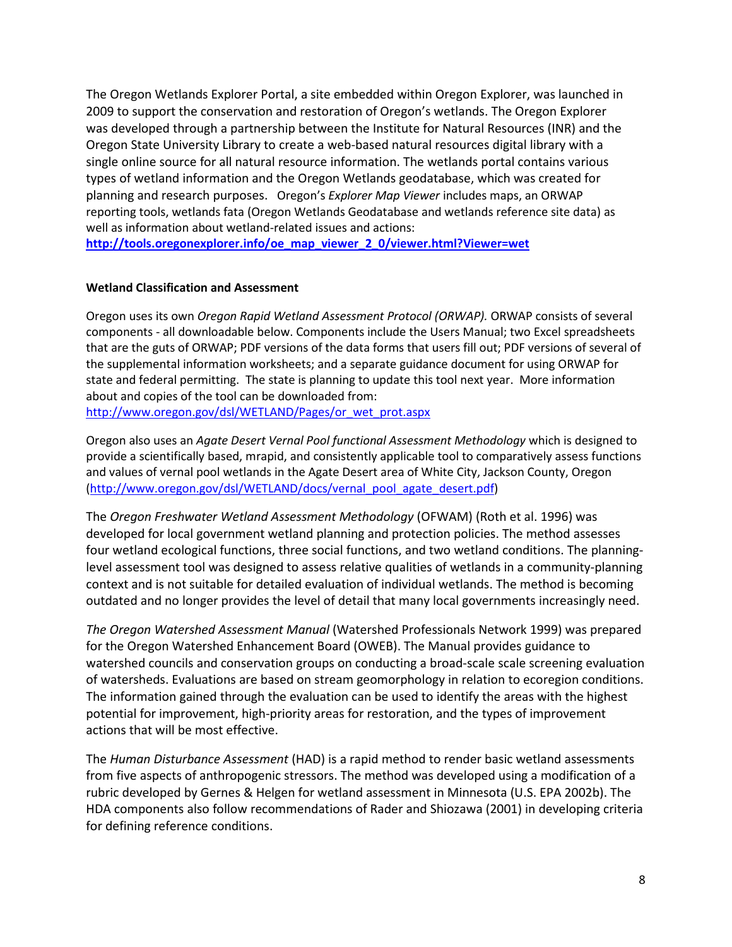The Oregon Wetlands Explorer Portal, a site embedded within Oregon Explorer, was launched in 2009 to support the conservation and restoration of Oregon's wetlands. The Oregon Explorer was developed through a partnership between the Institute for Natural Resources (INR) and the Oregon State University Library to create a web-based natural resources digital library with a single online source for all natural resource information. The wetlands portal contains various types of wetland information and the Oregon Wetlands geodatabase, which was created for planning and research purposes. Oregon's *Explorer Map Viewer* includes maps, an ORWAP reporting tools, wetlands fata (Oregon Wetlands Geodatabase and wetlands reference site data) as well as information about wetland-related issues and actions:

**[http://tools.oregonexplorer.info/oe\\_map\\_viewer\\_2\\_0/viewer.html?Viewer=wet](http://tools.oregonexplorer.info/oe_map_viewer_2_0/viewer.html?Viewer=wet)**

# **Wetland Classification and Assessment**

Oregon uses its own *Oregon Rapid Wetland Assessment Protocol (ORWAP).* ORWAP consists of several components - all downloadable below. Components include the Users Manual; two Excel spreadsheets that are the guts of ORWAP; PDF versions of the data forms that users fill out; PDF versions of several of the supplemental information worksheets; and a separate guidance document for using ORWAP for state and federal permitting. The state is planning to update this tool next year. More information about and copies of the tool can be downloaded from:

[http://www.oregon.gov/dsl/WETLAND/Pages/or\\_wet\\_prot.aspx](http://www.oregon.gov/dsl/WETLAND/Pages/or_wet_prot.aspx)

Oregon also uses an *Agate Desert Vernal Pool functional Assessment Methodology* which is designed to provide a scientifically based, mrapid, and consistently applicable tool to comparatively assess functions and values of vernal pool wetlands in the Agate Desert area of White City, Jackson County, Oregon [\(http://www.oregon.gov/dsl/WETLAND/docs/vernal\\_pool\\_agate\\_desert.pdf\)](http://www.oregon.gov/dsl/WETLAND/docs/vernal_pool_agate_desert.pdf)

The *Oregon Freshwater Wetland Assessment Methodology* (OFWAM) (Roth et al. 1996) was developed for local government wetland planning and protection policies. The method assesses four wetland ecological functions, three social functions, and two wetland conditions. The planninglevel assessment tool was designed to assess relative qualities of wetlands in a community-planning context and is not suitable for detailed evaluation of individual wetlands. The method is becoming outdated and no longer provides the level of detail that many local governments increasingly need.

*The Oregon Watershed Assessment Manual* (Watershed Professionals Network 1999) was prepared for the Oregon Watershed Enhancement Board (OWEB). The Manual provides guidance to watershed councils and conservation groups on conducting a broad-scale scale screening evaluation of watersheds. Evaluations are based on stream geomorphology in relation to ecoregion conditions. The information gained through the evaluation can be used to identify the areas with the highest potential for improvement, high-priority areas for restoration, and the types of improvement actions that will be most effective.

The *Human Disturbance Assessment* (HAD) is a rapid method to render basic wetland assessments from five aspects of anthropogenic stressors. The method was developed using a modification of a rubric developed by Gernes & Helgen for wetland assessment in Minnesota (U.S. EPA 2002b). The HDA components also follow recommendations of Rader and Shiozawa (2001) in developing criteria for defining reference conditions.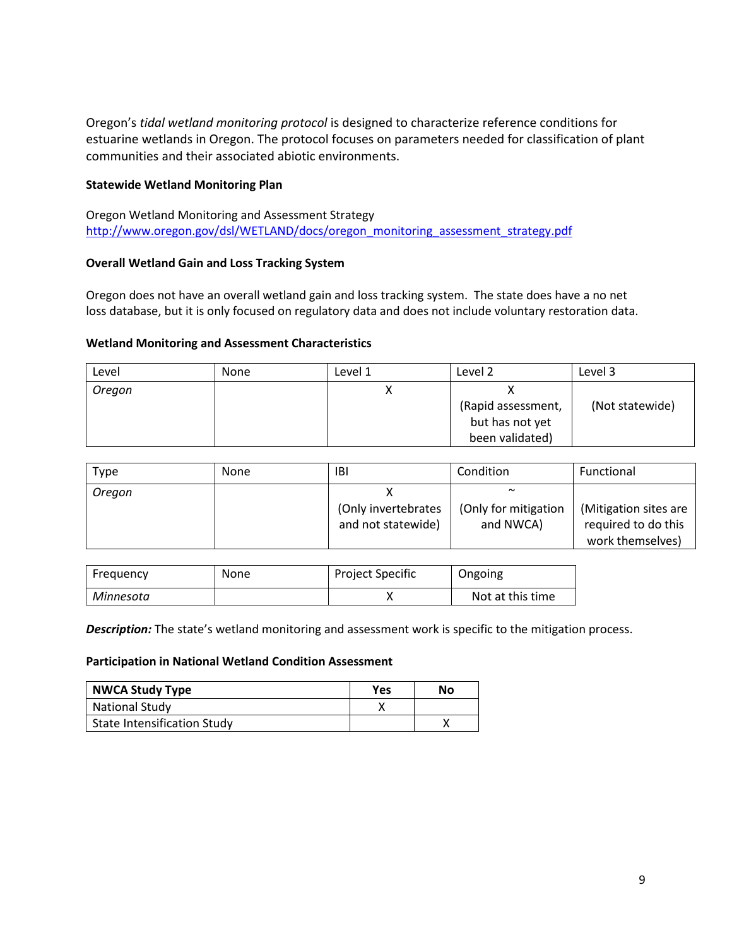Oregon's *tidal wetland monitoring protocol* is designed to characterize reference conditions for estuarine wetlands in Oregon. The protocol focuses on parameters needed for classification of plant communities and their associated abiotic environments.

## **Statewide Wetland Monitoring Plan**

Oregon Wetland Monitoring and Assessment Strategy [http://www.oregon.gov/dsl/WETLAND/docs/oregon\\_monitoring\\_assessment\\_strategy.pdf](http://www.oregon.gov/dsl/WETLAND/docs/oregon_monitoring_assessment_strategy.pdf)

# **Overall Wetland Gain and Loss Tracking System**

Oregon does not have an overall wetland gain and loss tracking system. The state does have a no net loss database, but it is only focused on regulatory data and does not include voluntary restoration data.

## **Wetland Monitoring and Assessment Characteristics**

| Level  | None | Level 1 | Level 2                                                  | Level 3         |
|--------|------|---------|----------------------------------------------------------|-----------------|
| Oregon |      |         | (Rapid assessment,<br>but has not yet<br>been validated) | (Not statewide) |

| Type   | <b>None</b> | IBI                                       | Condition                                   | Functional                                                       |
|--------|-------------|-------------------------------------------|---------------------------------------------|------------------------------------------------------------------|
| Oregon |             | (Only invertebrates<br>and not statewide) | $\sim$<br>(Only for mitigation<br>and NWCA) | (Mitigation sites are<br>required to do this<br>work themselves) |

| Frequency | <b>None</b> | <b>Project Specific</b> | Ongoing          |
|-----------|-------------|-------------------------|------------------|
| Minnesota |             |                         | Not at this time |

*Description:* The state's wetland monitoring and assessment work is specific to the mitigation process.

#### **Participation in National Wetland Condition Assessment**

| <b>NWCA Study Type</b>             | Yes | No |
|------------------------------------|-----|----|
| <b>National Study</b>              |     |    |
| <b>State Intensification Study</b> |     |    |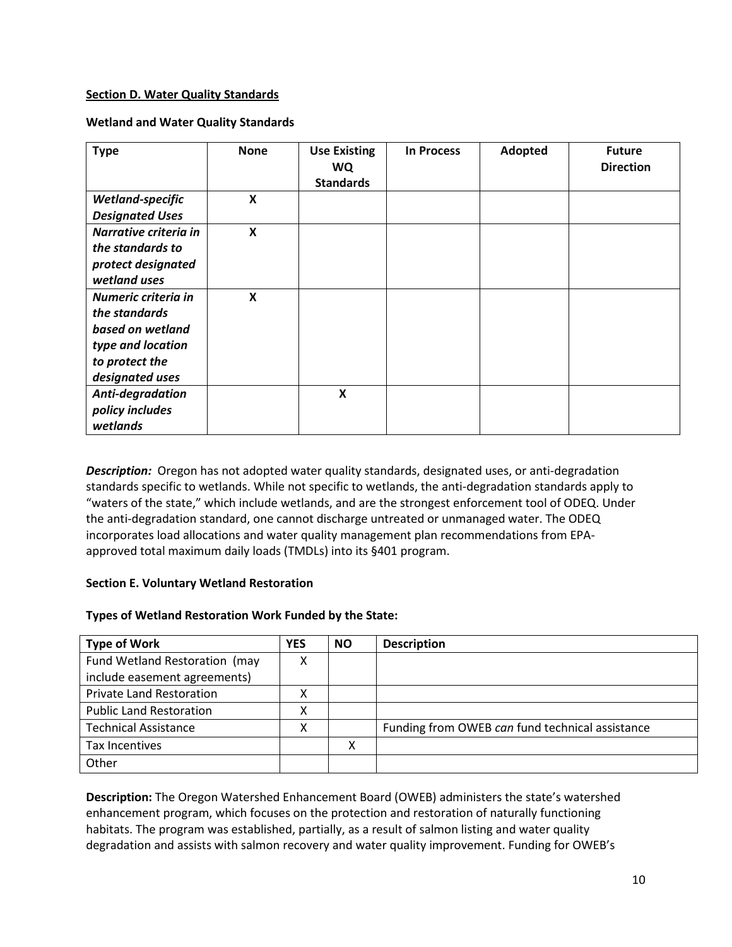## **Section D. Water Quality Standards**

## **Wetland and Water Quality Standards**

| <b>Type</b>            | <b>None</b> | <b>Use Existing</b><br><b>WQ</b><br><b>Standards</b> | <b>In Process</b> | Adopted | <b>Future</b><br><b>Direction</b> |
|------------------------|-------------|------------------------------------------------------|-------------------|---------|-----------------------------------|
| Wetland-specific       | X           |                                                      |                   |         |                                   |
| <b>Designated Uses</b> |             |                                                      |                   |         |                                   |
| Narrative criteria in  | X           |                                                      |                   |         |                                   |
| the standards to       |             |                                                      |                   |         |                                   |
| protect designated     |             |                                                      |                   |         |                                   |
| wetland uses           |             |                                                      |                   |         |                                   |
| Numeric criteria in    | X           |                                                      |                   |         |                                   |
| the standards          |             |                                                      |                   |         |                                   |
| based on wetland       |             |                                                      |                   |         |                                   |
| type and location      |             |                                                      |                   |         |                                   |
| to protect the         |             |                                                      |                   |         |                                   |
| designated uses        |             |                                                      |                   |         |                                   |
| Anti-degradation       |             | X                                                    |                   |         |                                   |
| policy includes        |             |                                                      |                   |         |                                   |
| wetlands               |             |                                                      |                   |         |                                   |

**Description:** Oregon has not adopted water quality standards, designated uses, or anti-degradation standards specific to wetlands. While not specific to wetlands, the anti-degradation standards apply to "waters of the state," which include wetlands, and are the strongest enforcement tool of ODEQ. Under the anti-degradation standard, one cannot discharge untreated or unmanaged water. The ODEQ incorporates load allocations and water quality management plan recommendations from EPAapproved total maximum daily loads (TMDLs) into its §401 program.

## **Section E. Voluntary Wetland Restoration**

# **Types of Wetland Restoration Work Funded by the State:**

| <b>Type of Work</b>             | <b>YES</b> | <b>NO</b> | <b>Description</b>                              |
|---------------------------------|------------|-----------|-------------------------------------------------|
| Fund Wetland Restoration (may   | х          |           |                                                 |
| include easement agreements)    |            |           |                                                 |
| <b>Private Land Restoration</b> |            |           |                                                 |
| <b>Public Land Restoration</b>  |            |           |                                                 |
| <b>Technical Assistance</b>     | л          |           | Funding from OWEB can fund technical assistance |
| Tax Incentives                  |            | v         |                                                 |
| Other                           |            |           |                                                 |

**Description:** The Oregon Watershed Enhancement Board (OWEB) administers the state's watershed enhancement program, which focuses on the protection and restoration of naturally functioning habitats. The program was established, partially, as a result of salmon listing and water quality degradation and assists with salmon recovery and water quality improvement. Funding for OWEB's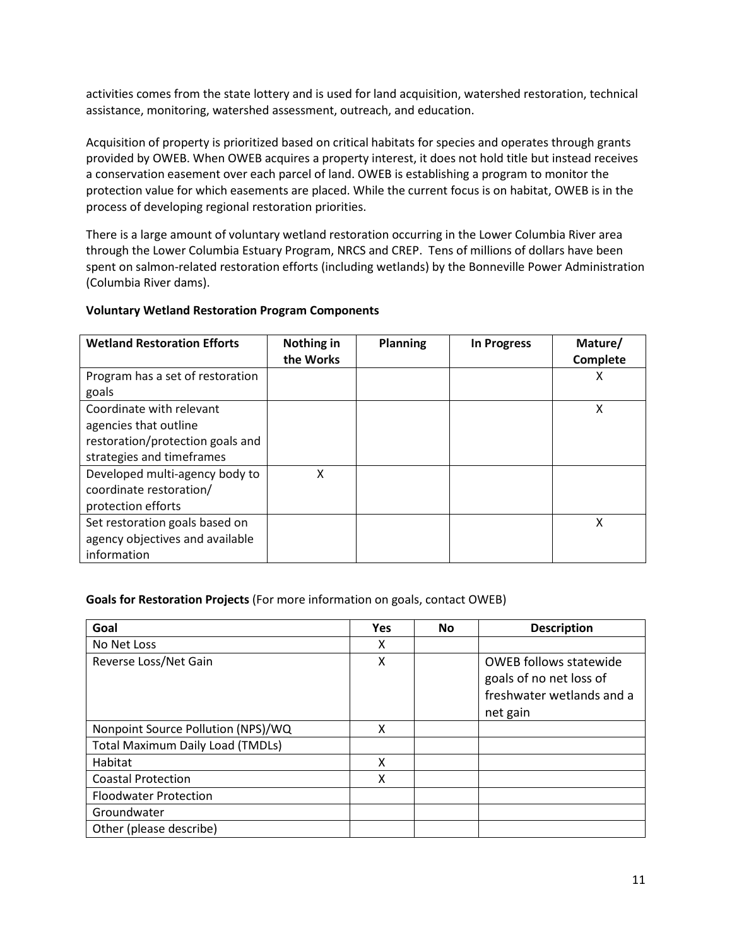activities comes from the state lottery and is used for land acquisition, watershed restoration, technical assistance, monitoring, watershed assessment, outreach, and education.

Acquisition of property is prioritized based on critical habitats for species and operates through grants provided by OWEB. When OWEB acquires a property interest, it does not hold title but instead receives a conservation easement over each parcel of land. OWEB is establishing a program to monitor the protection value for which easements are placed. While the current focus is on habitat, OWEB is in the process of developing regional restoration priorities.

There is a large amount of voluntary wetland restoration occurring in the Lower Columbia River area through the Lower Columbia Estuary Program, NRCS and CREP. Tens of millions of dollars have been spent on salmon-related restoration efforts (including wetlands) by the Bonneville Power Administration (Columbia River dams).

# **Voluntary Wetland Restoration Program Components**

| <b>Wetland Restoration Efforts</b>                                                                                 | Nothing in<br>the Works | <b>Planning</b> | <b>In Progress</b> | Mature/<br>Complete |
|--------------------------------------------------------------------------------------------------------------------|-------------------------|-----------------|--------------------|---------------------|
| Program has a set of restoration<br>goals                                                                          |                         |                 |                    | х                   |
| Coordinate with relevant<br>agencies that outline<br>restoration/protection goals and<br>strategies and timeframes |                         |                 |                    | Χ                   |
| Developed multi-agency body to<br>coordinate restoration/<br>protection efforts                                    | χ                       |                 |                    |                     |
| Set restoration goals based on<br>agency objectives and available<br>information                                   |                         |                 |                    | Χ                   |

## **Goals for Restoration Projects** (For more information on goals, contact OWEB)

| Goal                                    | <b>Yes</b> | <b>No</b> | <b>Description</b>                                                                                |
|-----------------------------------------|------------|-----------|---------------------------------------------------------------------------------------------------|
| No Net Loss                             | χ          |           |                                                                                                   |
| Reverse Loss/Net Gain                   | X          |           | <b>OWEB follows statewide</b><br>goals of no net loss of<br>freshwater wetlands and a<br>net gain |
| Nonpoint Source Pollution (NPS)/WQ      | x          |           |                                                                                                   |
| <b>Total Maximum Daily Load (TMDLs)</b> |            |           |                                                                                                   |
| Habitat                                 | X          |           |                                                                                                   |
| <b>Coastal Protection</b>               | x          |           |                                                                                                   |
| <b>Floodwater Protection</b>            |            |           |                                                                                                   |
| Groundwater                             |            |           |                                                                                                   |
| Other (please describe)                 |            |           |                                                                                                   |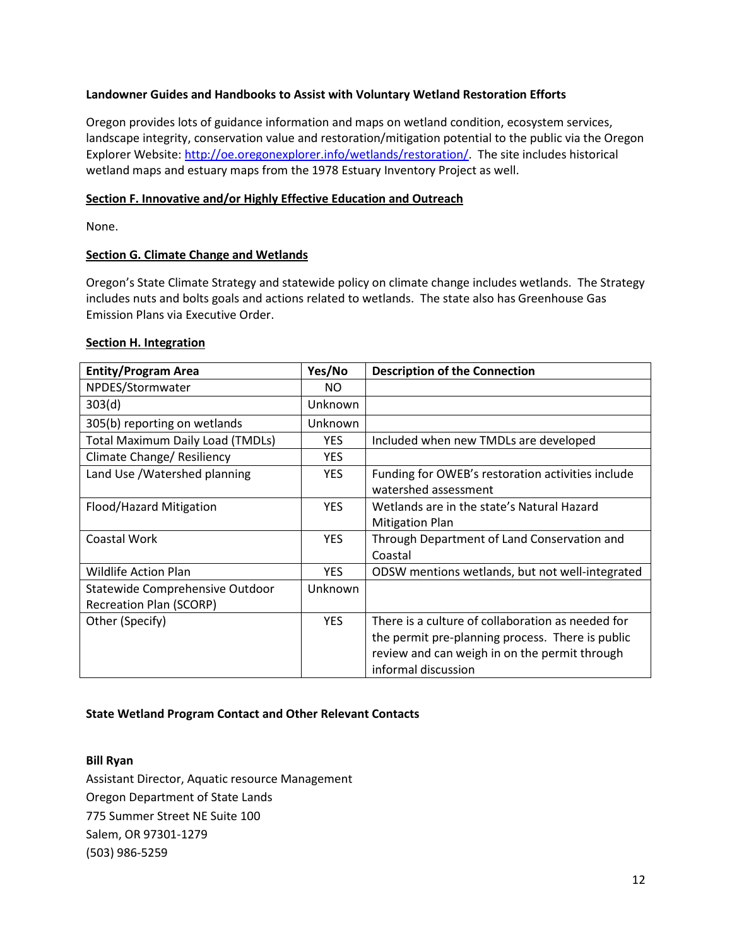## **Landowner Guides and Handbooks to Assist with Voluntary Wetland Restoration Efforts**

Oregon provides lots of guidance information and maps on wetland condition, ecosystem services, landscape integrity, conservation value and restoration/mitigation potential to the public via the Oregon Explorer Website: [http://oe.oregonexplorer.info/wetlands/restoration/.](http://oe.oregonexplorer.info/wetlands/restoration/) The site includes historical wetland maps and estuary maps from the 1978 Estuary Inventory Project as well.

#### **Section F. Innovative and/or Highly Effective Education and Outreach**

None.

#### **Section G. Climate Change and Wetlands**

Oregon's State Climate Strategy and statewide policy on climate change includes wetlands. The Strategy includes nuts and bolts goals and actions related to wetlands. The state also has Greenhouse Gas Emission Plans via Executive Order.

#### **Section H. Integration**

| <b>Entity/Program Area</b>              | Yes/No     | <b>Description of the Connection</b>              |
|-----------------------------------------|------------|---------------------------------------------------|
| NPDES/Stormwater                        | NO.        |                                                   |
| 303(d)                                  | Unknown    |                                                   |
| 305(b) reporting on wetlands            | Unknown    |                                                   |
| <b>Total Maximum Daily Load (TMDLs)</b> | <b>YES</b> | Included when new TMDLs are developed             |
| Climate Change/ Resiliency              | <b>YES</b> |                                                   |
| Land Use /Watershed planning            | <b>YES</b> | Funding for OWEB's restoration activities include |
|                                         |            | watershed assessment                              |
| Flood/Hazard Mitigation                 | <b>YES</b> | Wetlands are in the state's Natural Hazard        |
|                                         |            | <b>Mitigation Plan</b>                            |
| Coastal Work                            | <b>YES</b> | Through Department of Land Conservation and       |
|                                         |            | Coastal                                           |
| <b>Wildlife Action Plan</b>             | <b>YES</b> | ODSW mentions wetlands, but not well-integrated   |
| Statewide Comprehensive Outdoor         | Unknown    |                                                   |
| <b>Recreation Plan (SCORP)</b>          |            |                                                   |
| Other (Specify)                         | <b>YES</b> | There is a culture of collaboration as needed for |
|                                         |            | the permit pre-planning process. There is public  |
|                                         |            | review and can weigh in on the permit through     |
|                                         |            | informal discussion                               |

## **State Wetland Program Contact and Other Relevant Contacts**

#### **Bill Ryan**

Assistant Director, Aquatic resource Management Oregon Department of State Lands 775 Summer Street NE Suite 100 Salem, OR 97301-1279 (503) 986-5259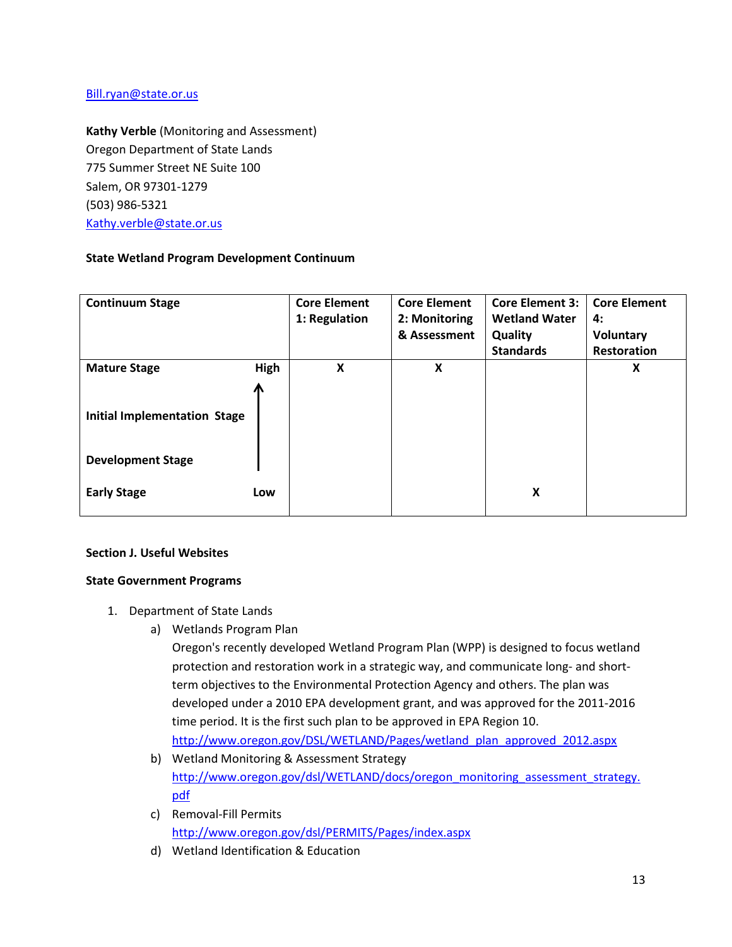## [Bill.ryan@state.or.us](mailto:Bill.ryan@state.or.us)

**Kathy Verble** (Monitoring and Assessment) Oregon Department of State Lands 775 Summer Street NE Suite 100 Salem, OR 97301-1279 (503) 986-5321 [Kathy.verble@state.or.us](mailto:Kathy.verble@state.or.us)

# **State Wetland Program Development Continuum**

| <b>Continuum Stage</b>                                          |      | <b>Core Element</b><br>1: Regulation | <b>Core Element</b><br>2: Monitoring | <b>Core Element 3:</b><br><b>Wetland Water</b> | <b>Core Element</b><br>4: |
|-----------------------------------------------------------------|------|--------------------------------------|--------------------------------------|------------------------------------------------|---------------------------|
|                                                                 |      |                                      | & Assessment                         | Quality                                        | Voluntary                 |
|                                                                 |      |                                      |                                      | <b>Standards</b>                               | <b>Restoration</b>        |
| <b>Mature Stage</b>                                             | High | X                                    | X                                    |                                                | X                         |
| <b>Initial Implementation Stage</b><br><b>Development Stage</b> | Л    |                                      |                                      |                                                |                           |
| <b>Early Stage</b>                                              | Low  |                                      |                                      | X                                              |                           |

## **Section J. Useful Websites**

## **State Government Programs**

- 1. Department of State Lands
	- a) Wetlands Program Plan

Oregon's recently developed Wetland Program Plan (WPP) is designed to focus wetland protection and restoration work in a strategic way, and communicate long- and shortterm objectives to the Environmental Protection Agency and others. The plan was developed under a 2010 EPA development grant, and was approved for the 2011-2016 time period. It is the first such plan to be approved in EPA Region 10. [http://www.oregon.gov/DSL/WETLAND/Pages/wetland\\_plan\\_approved\\_2012.aspx](http://www.oregon.gov/DSL/WETLAND/Pages/wetland_plan_approved_2012.aspx)

- b) Wetland Monitoring & Assessment Strategy [http://www.oregon.gov/dsl/WETLAND/docs/oregon\\_monitoring\\_assessment\\_strategy.](http://www.oregon.gov/dsl/WETLAND/docs/oregon_monitoring_assessment_strategy.pdf) [pdf](http://www.oregon.gov/dsl/WETLAND/docs/oregon_monitoring_assessment_strategy.pdf)
- c) Removal-Fill Permits <http://www.oregon.gov/dsl/PERMITS/Pages/index.aspx>
- d) Wetland Identification & Education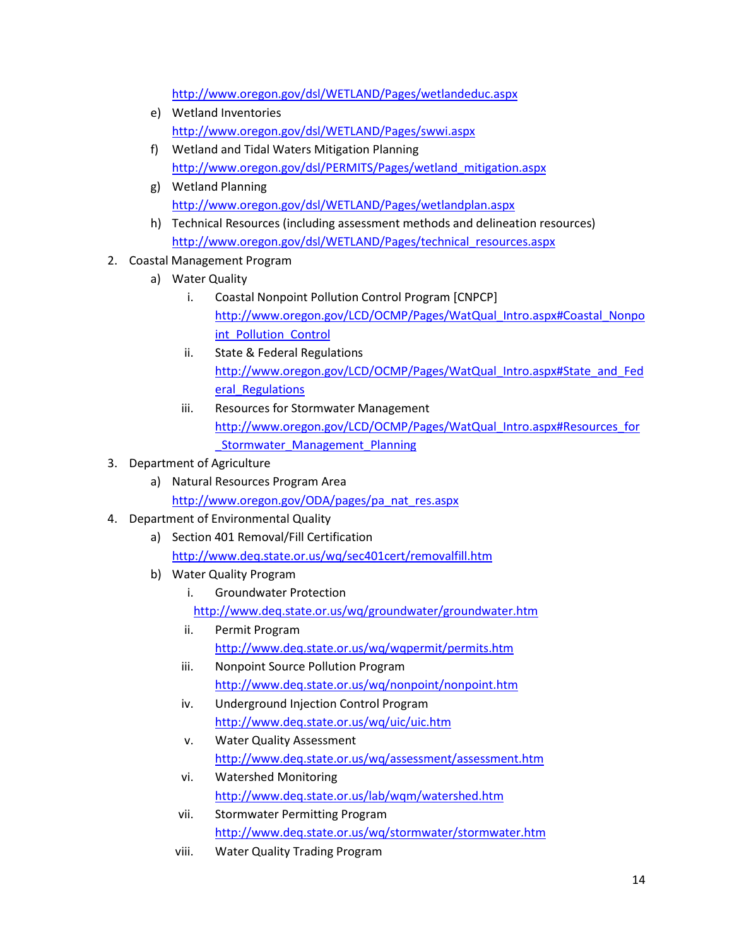<http://www.oregon.gov/dsl/WETLAND/Pages/wetlandeduc.aspx>

- e) Wetland Inventories <http://www.oregon.gov/dsl/WETLAND/Pages/swwi.aspx>
- f) Wetland and Tidal Waters Mitigation Planning [http://www.oregon.gov/dsl/PERMITS/Pages/wetland\\_mitigation.aspx](http://www.oregon.gov/dsl/PERMITS/Pages/wetland_mitigation.aspx)
- g) Wetland Planning <http://www.oregon.gov/dsl/WETLAND/Pages/wetlandplan.aspx>
- h) Technical Resources (including assessment methods and delineation resources) [http://www.oregon.gov/dsl/WETLAND/Pages/technical\\_resources.aspx](http://www.oregon.gov/dsl/WETLAND/Pages/technical_resources.aspx)
- 2. Coastal Management Program
	- a) Water Quality
		- i. Coastal Nonpoint Pollution Control Program [CNPCP] [http://www.oregon.gov/LCD/OCMP/Pages/WatQual\\_Intro.aspx#Coastal\\_Nonpo](http://www.oregon.gov/LCD/OCMP/Pages/WatQual_Intro.aspx#Coastal_Nonpoint_Pollution_Control) [int\\_Pollution\\_Control](http://www.oregon.gov/LCD/OCMP/Pages/WatQual_Intro.aspx#Coastal_Nonpoint_Pollution_Control)
		- ii. State & Federal Regulations [http://www.oregon.gov/LCD/OCMP/Pages/WatQual\\_Intro.aspx#State\\_and\\_Fed](http://www.oregon.gov/LCD/OCMP/Pages/WatQual_Intro.aspx#State_and_Federal_Regulations) [eral\\_Regulations](http://www.oregon.gov/LCD/OCMP/Pages/WatQual_Intro.aspx#State_and_Federal_Regulations)
		- iii. Resources for Stormwater Management [http://www.oregon.gov/LCD/OCMP/Pages/WatQual\\_Intro.aspx#Resources\\_for](http://www.oregon.gov/LCD/OCMP/Pages/WatQual_Intro.aspx#Resources_for_Stormwater_Management_Planning) Stormwater Management Planning
- 3. Department of Agriculture
	- a) Natural Resources Program Area [http://www.oregon.gov/ODA/pages/pa\\_nat\\_res.aspx](http://www.oregon.gov/ODA/pages/pa_nat_res.aspx)
- 4. Department of Environmental Quality
	- a) Section 401 Removal/Fill Certification <http://www.deq.state.or.us/wq/sec401cert/removalfill.htm>
	- b) Water Quality Program
		- i. Groundwater Protection

<http://www.deq.state.or.us/wq/groundwater/groundwater.htm>

- ii. Permit Program <http://www.deq.state.or.us/wq/wqpermit/permits.htm>
- iii. Nonpoint Source Pollution Program <http://www.deq.state.or.us/wq/nonpoint/nonpoint.htm>
- iv. Underground Injection Control Program <http://www.deq.state.or.us/wq/uic/uic.htm>
- v. Water Quality Assessment <http://www.deq.state.or.us/wq/assessment/assessment.htm>
- vi. Watershed Monitoring <http://www.deq.state.or.us/lab/wqm/watershed.htm>
- vii. Stormwater Permitting Program <http://www.deq.state.or.us/wq/stormwater/stormwater.htm>
- viii. Water Quality Trading Program